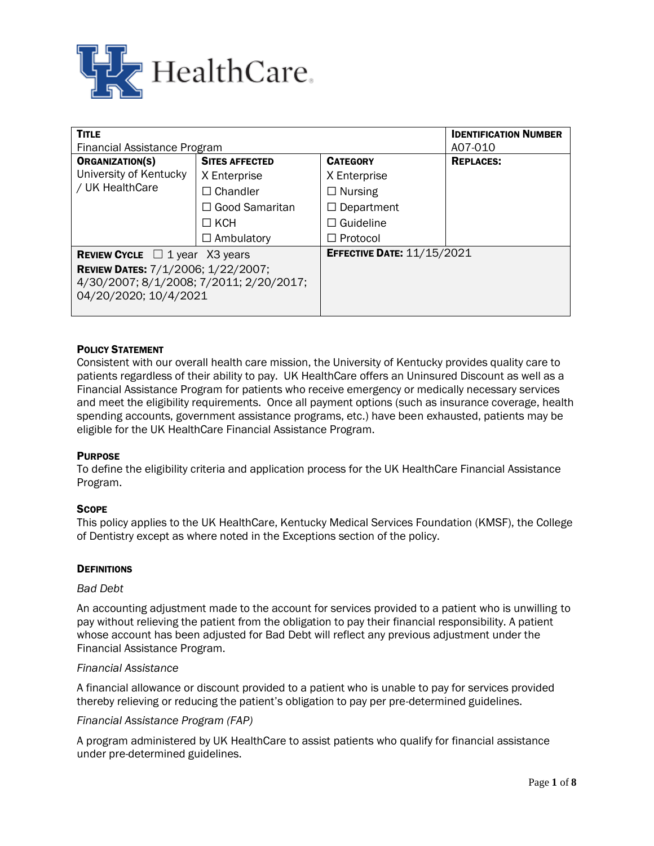

| <b>TITLE</b>                               | <b>IDENTIFICATION NUMBER</b> |                                   |                  |
|--------------------------------------------|------------------------------|-----------------------------------|------------------|
| Financial Assistance Program               | A07-010                      |                                   |                  |
| <b>ORGANIZATION(S)</b>                     | <b>SITES AFFECTED</b>        | <b>CATEGORY</b>                   | <b>REPLACES:</b> |
| University of Kentucky<br>/ UK HealthCare  | X Enterprise                 | X Enterprise                      |                  |
|                                            | $\Box$ Chandler              | $\Box$ Nursing                    |                  |
|                                            | $\Box$ Good Samaritan        | $\Box$ Department                 |                  |
|                                            | $\Box$ KCH                   | $\Box$ Guideline                  |                  |
|                                            | $\Box$ Ambulatory            | $\Box$ Protocol                   |                  |
| <b>REVIEW CYCLE</b> $\Box$ 1 year X3 years |                              | <b>EFFECTIVE DATE: 11/15/2021</b> |                  |
| <b>REVIEW DATES: 7/1/2006; 1/22/2007;</b>  |                              |                                   |                  |
| 4/30/2007; 8/1/2008; 7/2011; 2/20/2017;    |                              |                                   |                  |
| 04/20/2020; 10/4/2021                      |                              |                                   |                  |
|                                            |                              |                                   |                  |

# POLICY STATEMENT

Consistent with our overall health care mission, the University of Kentucky provides quality care to patients regardless of their ability to pay. UK HealthCare offers an Uninsured Discount as well as a Financial Assistance Program for patients who receive emergency or medically necessary services and meet the eligibility requirements. Once all payment options (such as insurance coverage, health spending accounts, government assistance programs, etc.) have been exhausted, patients may be eligible for the UK HealthCare Financial Assistance Program.

### **PURPOSE**

To define the eligibility criteria and application process for the UK HealthCare Financial Assistance Program.

### **SCOPE**

This policy applies to the UK HealthCare, Kentucky Medical Services Foundation (KMSF), the College of Dentistry except as where noted in the Exceptions section of the policy.

#### **DEFINITIONS**

#### *Bad Debt*

An accounting adjustment made to the account for services provided to a patient who is unwilling to pay without relieving the patient from the obligation to pay their financial responsibility. A patient whose account has been adjusted for Bad Debt will reflect any previous adjustment under the Financial Assistance Program.

#### *Financial Assistance*

A financial allowance or discount provided to a patient who is unable to pay for services provided thereby relieving or reducing the patient's obligation to pay per pre-determined guidelines.

#### *Financial Assistance Program (FAP)*

A program administered by UK HealthCare to assist patients who qualify for financial assistance under pre-determined guidelines.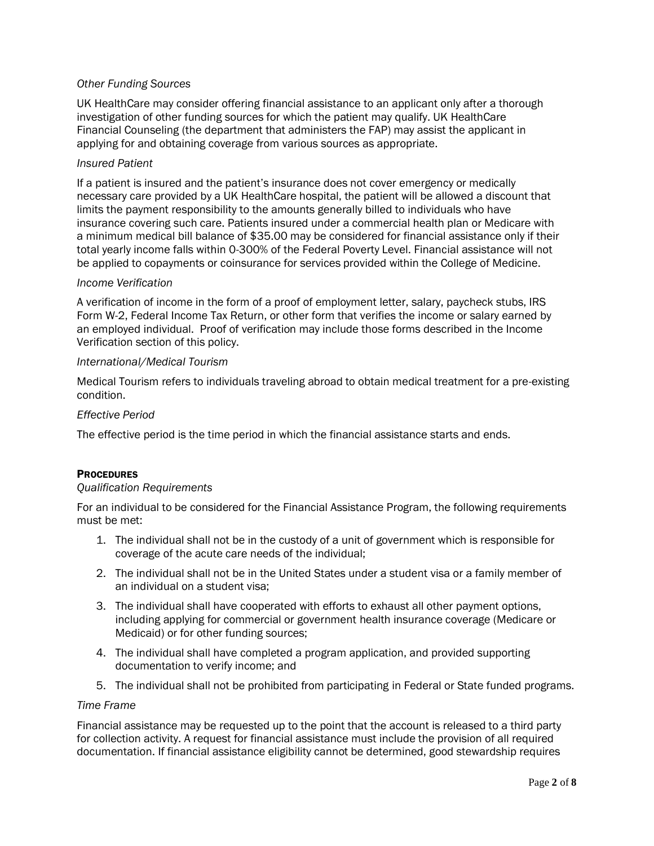# *Other Funding Sources*

UK HealthCare may consider offering financial assistance to an applicant only after a thorough investigation of other funding sources for which the patient may qualify. UK HealthCare Financial Counseling (the department that administers the FAP) may assist the applicant in applying for and obtaining coverage from various sources as appropriate.

### *Insured Patient*

If a patient is insured and the patient's insurance does not cover emergency or medically necessary care provided by a UK HealthCare hospital, the patient will be allowed a discount that limits the payment responsibility to the amounts generally billed to individuals who have insurance covering such care. Patients insured under a commercial health plan or Medicare with a minimum medical bill balance of \$35.00 may be considered for financial assistance only if their total yearly income falls within 0-300% of the Federal Poverty Level. Financial assistance will not be applied to copayments or coinsurance for services provided within the College of Medicine.

# *Income Verification*

A verification of income in the form of a proof of employment letter, salary, paycheck stubs, IRS Form W-2, Federal Income Tax Return, or other form that verifies the income or salary earned by an employed individual. Proof of verification may include those forms described in the Income Verification section of this policy.

# *International/Medical Tourism*

Medical Tourism refers to individuals traveling abroad to obtain medical treatment for a pre-existing condition.

# *Effective Period*

The effective period is the time period in which the financial assistance starts and ends.

### **PROCEDURES**

### *Qualification Requirements*

For an individual to be considered for the Financial Assistance Program, the following requirements must be met:

- 1. The individual shall not be in the custody of a unit of government which is responsible for coverage of the acute care needs of the individual;
- 2. The individual shall not be in the United States under a student visa or a family member of an individual on a student visa;
- 3. The individual shall have cooperated with efforts to exhaust all other payment options, including applying for commercial or government health insurance coverage (Medicare or Medicaid) or for other funding sources;
- 4. The individual shall have completed a program application, and provided supporting documentation to verify income; and
- 5. The individual shall not be prohibited from participating in Federal or State funded programs.

# *Time Frame*

Financial assistance may be requested up to the point that the account is released to a third party for collection activity. A request for financial assistance must include the provision of all required documentation. If financial assistance eligibility cannot be determined, good stewardship requires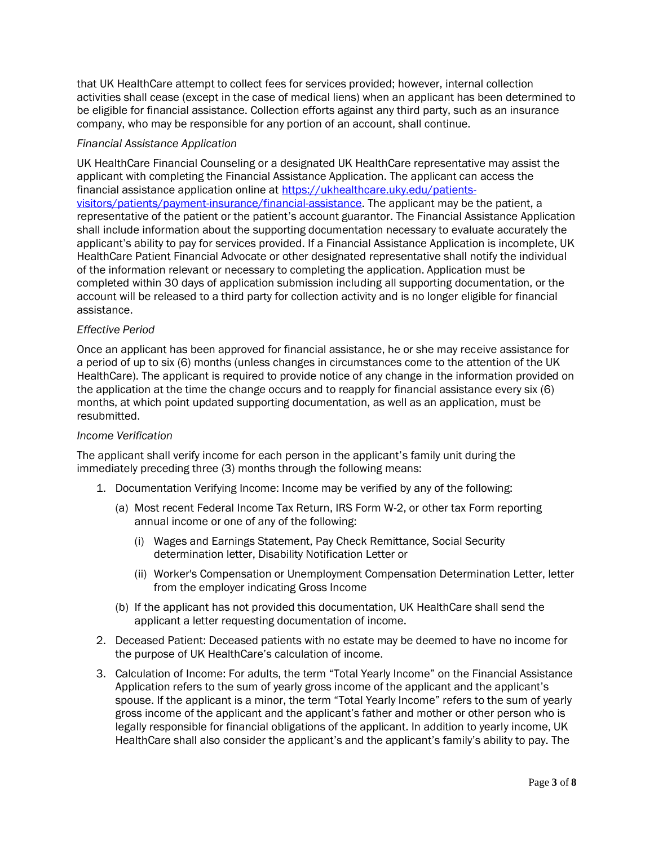that UK HealthCare attempt to collect fees for services provided; however, internal collection activities shall cease (except in the case of medical liens) when an applicant has been determined to be eligible for financial assistance. Collection efforts against any third party, such as an insurance company, who may be responsible for any portion of an account, shall continue.

# *Financial Assistance Application*

UK HealthCare Financial Counseling or a designated UK HealthCare representative may assist the applicant with completing the Financial Assistance Application. The applicant can access the financial assistance application online at [https://ukhealthcare.uky.edu/patients](https://ukhealthcare.uky.edu/patients-visitors/patients/payment-insurance/financial-assistance)[visitors/patients/payment-insurance/financial-assistance.](https://ukhealthcare.uky.edu/patients-visitors/patients/payment-insurance/financial-assistance) The applicant may be the patient, a representative of the patient or the patient's account guarantor. The Financial Assistance Application shall include information about the supporting documentation necessary to evaluate accurately the applicant's ability to pay for services provided. If a Financial Assistance Application is incomplete, UK HealthCare Patient Financial Advocate or other designated representative shall notify the individual of the information relevant or necessary to completing the application. Application must be completed within 30 days of application submission including all supporting documentation, or the account will be released to a third party for collection activity and is no longer eligible for financial assistance.

# *Effective Period*

Once an applicant has been approved for financial assistance, he or she may receive assistance for a period of up to six (6) months (unless changes in circumstances come to the attention of the UK HealthCare). The applicant is required to provide notice of any change in the information provided on the application at the time the change occurs and to reapply for financial assistance every six (6) months, at which point updated supporting documentation, as well as an application, must be resubmitted.

### *Income Verification*

The applicant shall verify income for each person in the applicant's family unit during the immediately preceding three (3) months through the following means:

- 1. Documentation Verifying Income: Income may be verified by any of the following:
	- (a) Most recent Federal Income Tax Return, IRS Form W-2, or other tax Form reporting annual income or one of any of the following:
		- (i) Wages and Earnings Statement, Pay Check Remittance, Social Security determination letter, Disability Notification Letter or
		- (ii) Worker's Compensation or Unemployment Compensation Determination Letter, letter from the employer indicating Gross Income
	- (b) If the applicant has not provided this documentation, UK HealthCare shall send the applicant a letter requesting documentation of income.
- 2. Deceased Patient: Deceased patients with no estate may be deemed to have no income for the purpose of UK HealthCare's calculation of income.
- 3. Calculation of Income: For adults, the term "Total Yearly Income" on the Financial Assistance Application refers to the sum of yearly gross income of the applicant and the applicant's spouse. If the applicant is a minor, the term "Total Yearly Income" refers to the sum of yearly gross income of the applicant and the applicant's father and mother or other person who is legally responsible for financial obligations of the applicant. In addition to yearly income, UK HealthCare shall also consider the applicant's and the applicant's family's ability to pay. The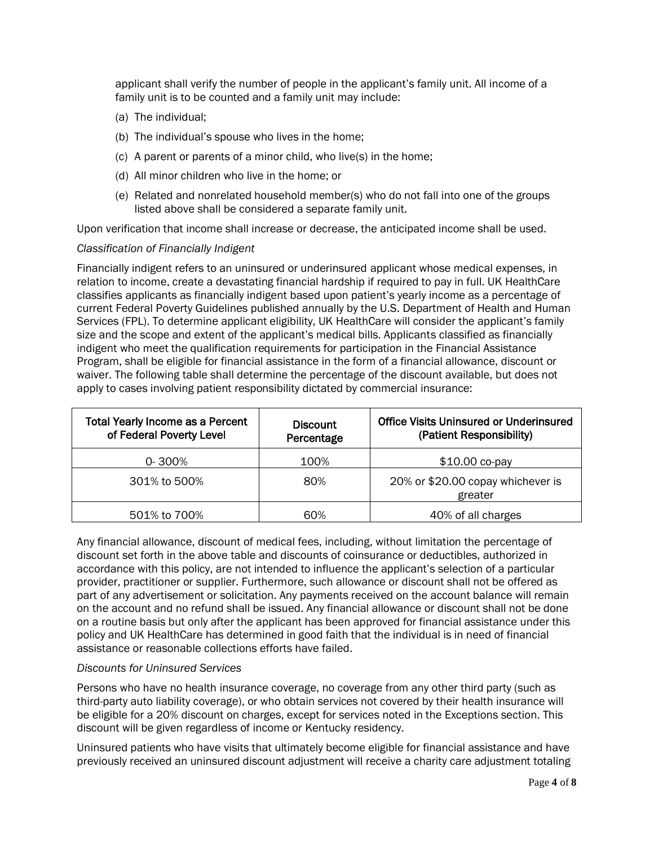applicant shall verify the number of people in the applicant's family unit. All income of a family unit is to be counted and a family unit may include:

- (a) The individual;
- (b) The individual's spouse who lives in the home;
- (c) A parent or parents of a minor child, who live(s) in the home;
- (d) All minor children who live in the home; or
- (e) Related and nonrelated household member(s) who do not fall into one of the groups listed above shall be considered a separate family unit.

Upon verification that income shall increase or decrease, the anticipated income shall be used.

### *Classification of Financially Indigent*

Financially indigent refers to an uninsured or underinsured applicant whose medical expenses, in relation to income, create a devastating financial hardship if required to pay in full. UK HealthCare classifies applicants as financially indigent based upon patient's yearly income as a percentage of current Federal Poverty Guidelines published annually by the U.S. Department of Health and Human Services (FPL). To determine applicant eligibility, UK HealthCare will consider the applicant's family size and the scope and extent of the applicant's medical bills. Applicants classified as financially indigent who meet the qualification requirements for participation in the Financial Assistance Program, shall be eligible for financial assistance in the form of a financial allowance, discount or waiver. The following table shall determine the percentage of the discount available, but does not apply to cases involving patient responsibility dictated by commercial insurance:

| <b>Total Yearly Income as a Percent</b><br>of Federal Poverty Level | <b>Discount</b><br>Percentage | <b>Office Visits Uninsured or Underinsured</b><br>(Patient Responsibility) |  |
|---------------------------------------------------------------------|-------------------------------|----------------------------------------------------------------------------|--|
| $0 - 300%$                                                          | 100%                          | $$10.00$ co-pay                                                            |  |
| 301% to 500%                                                        | 80%                           | 20% or \$20.00 copay whichever is<br>greater                               |  |
| 501% to 700%                                                        | 60%                           | 40% of all charges                                                         |  |

Any financial allowance, discount of medical fees, including, without limitation the percentage of discount set forth in the above table and discounts of coinsurance or deductibles, authorized in accordance with this policy, are not intended to influence the applicant's selection of a particular provider, practitioner or supplier. Furthermore, such allowance or discount shall not be offered as part of any advertisement or solicitation. Any payments received on the account balance will remain on the account and no refund shall be issued. Any financial allowance or discount shall not be done on a routine basis but only after the applicant has been approved for financial assistance under this policy and UK HealthCare has determined in good faith that the individual is in need of financial assistance or reasonable collections efforts have failed.

### *Discounts for Uninsured Services*

Persons who have no health insurance coverage, no coverage from any other third party (such as third-party auto liability coverage), or who obtain services not covered by their health insurance will be eligible for a 20% discount on charges, except for services noted in the Exceptions section. This discount will be given regardless of income or Kentucky residency.

Uninsured patients who have visits that ultimately become eligible for financial assistance and have previously received an uninsured discount adjustment will receive a charity care adjustment totaling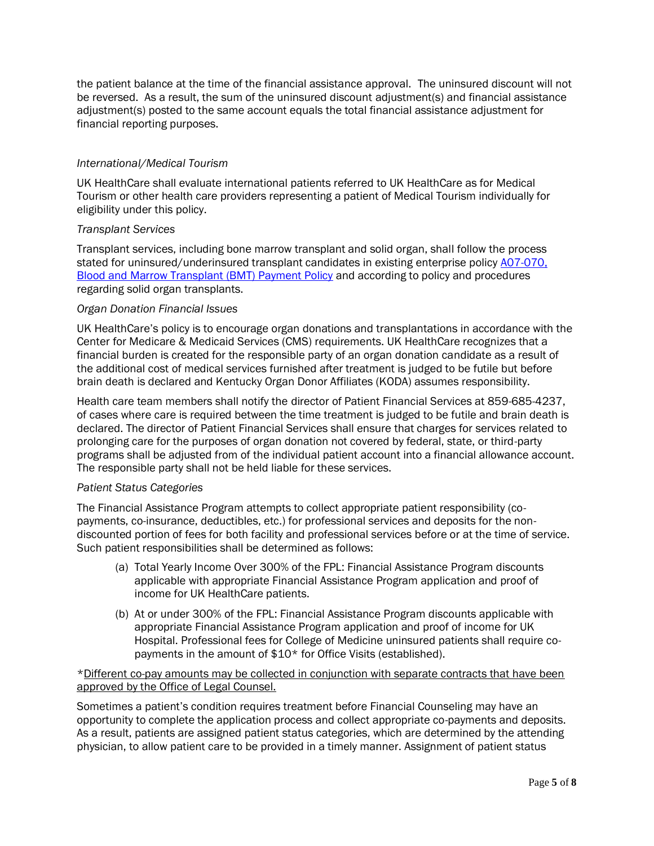the patient balance at the time of the financial assistance approval. The uninsured discount will not be reversed. As a result, the sum of the uninsured discount adjustment(s) and financial assistance adjustment(s) posted to the same account equals the total financial assistance adjustment for financial reporting purposes.

# *International/Medical Tourism*

UK HealthCare shall evaluate international patients referred to UK HealthCare as for Medical Tourism or other health care providers representing a patient of Medical Tourism individually for eligibility under this policy.

### *Transplant Services*

Transplant services, including bone marrow transplant and solid organ, shall follow the process stated for uninsured/underinsured transplant candidates in existing enterprise policy [A07-070,](https://ukhealthcare.mc.uky.edu/policies/enterprise/_layouts/15/WopiFrame.aspx?sourcedoc=/policies/enterprise/Enterprise/A07-070%20Blood%20and%20Marrow%20Transplant%20Payment.docx&action=default&DefaultItemOpen=1)  [Blood and Marrow Transplant \(BMT\) Payment Policy](https://ukhealthcare.mc.uky.edu/policies/enterprise/_layouts/15/WopiFrame.aspx?sourcedoc=/policies/enterprise/Enterprise/A07-070%20Blood%20and%20Marrow%20Transplant%20Payment.docx&action=default&DefaultItemOpen=1) and according to policy and procedures regarding solid organ transplants.

# *Organ Donation Financial Issues*

UK HealthCare's policy is to encourage organ donations and transplantations in accordance with the Center for Medicare & Medicaid Services (CMS) requirements. UK HealthCare recognizes that a financial burden is created for the responsible party of an organ donation candidate as a result of the additional cost of medical services furnished after treatment is judged to be futile but before brain death is declared and Kentucky Organ Donor Affiliates (KODA) assumes responsibility.

Health care team members shall notify the director of Patient Financial Services at 859-685-4237, of cases where care is required between the time treatment is judged to be futile and brain death is declared. The director of Patient Financial Services shall ensure that charges for services related to prolonging care for the purposes of organ donation not covered by federal, state, or third-party programs shall be adjusted from of the individual patient account into a financial allowance account. The responsible party shall not be held liable for these services.

### *Patient Status Categories*

The Financial Assistance Program attempts to collect appropriate patient responsibility (copayments, co-insurance, deductibles, etc.) for professional services and deposits for the nondiscounted portion of fees for both facility and professional services before or at the time of service. Such patient responsibilities shall be determined as follows:

- (a) Total Yearly Income Over 300% of the FPL: Financial Assistance Program discounts applicable with appropriate Financial Assistance Program application and proof of income for UK HealthCare patients.
- (b) At or under 300% of the FPL: Financial Assistance Program discounts applicable with appropriate Financial Assistance Program application and proof of income for UK Hospital. Professional fees for College of Medicine uninsured patients shall require copayments in the amount of \$10\* for Office Visits (established).

# \*Different co-pay amounts may be collected in conjunction with separate contracts that have been approved by the Office of Legal Counsel.

Sometimes a patient's condition requires treatment before Financial Counseling may have an opportunity to complete the application process and collect appropriate co-payments and deposits. As a result, patients are assigned patient status categories, which are determined by the attending physician, to allow patient care to be provided in a timely manner. Assignment of patient status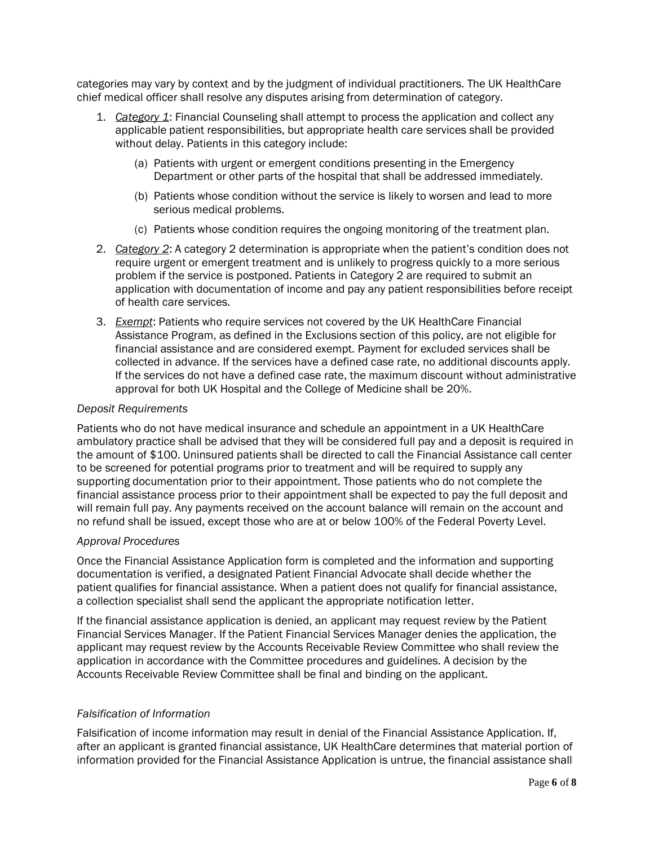categories may vary by context and by the judgment of individual practitioners. The UK HealthCare chief medical officer shall resolve any disputes arising from determination of category.

- 1. *Category 1*: Financial Counseling shall attempt to process the application and collect any applicable patient responsibilities, but appropriate health care services shall be provided without delay. Patients in this category include:
	- (a) Patients with urgent or emergent conditions presenting in the Emergency Department or other parts of the hospital that shall be addressed immediately.
	- (b) Patients whose condition without the service is likely to worsen and lead to more serious medical problems.
	- (c) Patients whose condition requires the ongoing monitoring of the treatment plan.
- 2. *Category 2*: A category 2 determination is appropriate when the patient's condition does not require urgent or emergent treatment and is unlikely to progress quickly to a more serious problem if the service is postponed. Patients in Category 2 are required to submit an application with documentation of income and pay any patient responsibilities before receipt of health care services.
- 3. *Exempt*: Patients who require services not covered by the UK HealthCare Financial Assistance Program, as defined in the Exclusions section of this policy, are not eligible for financial assistance and are considered exempt. Payment for excluded services shall be collected in advance. If the services have a defined case rate, no additional discounts apply. If the services do not have a defined case rate, the maximum discount without administrative approval for both UK Hospital and the College of Medicine shall be 20%.

# *Deposit Requirements*

Patients who do not have medical insurance and schedule an appointment in a UK HealthCare ambulatory practice shall be advised that they will be considered full pay and a deposit is required in the amount of \$100. Uninsured patients shall be directed to call the Financial Assistance call center to be screened for potential programs prior to treatment and will be required to supply any supporting documentation prior to their appointment. Those patients who do not complete the financial assistance process prior to their appointment shall be expected to pay the full deposit and will remain full pay. Any payments received on the account balance will remain on the account and no refund shall be issued, except those who are at or below 100% of the Federal Poverty Level.

### *Approval Procedures*

Once the Financial Assistance Application form is completed and the information and supporting documentation is verified, a designated Patient Financial Advocate shall decide whether the patient qualifies for financial assistance. When a patient does not qualify for financial assistance, a collection specialist shall send the applicant the appropriate notification letter.

If the financial assistance application is denied, an applicant may request review by the Patient Financial Services Manager. If the Patient Financial Services Manager denies the application, the applicant may request review by the Accounts Receivable Review Committee who shall review the application in accordance with the Committee procedures and guidelines. A decision by the Accounts Receivable Review Committee shall be final and binding on the applicant.

### *Falsification of Information*

Falsification of income information may result in denial of the Financial Assistance Application. If, after an applicant is granted financial assistance, UK HealthCare determines that material portion of information provided for the Financial Assistance Application is untrue, the financial assistance shall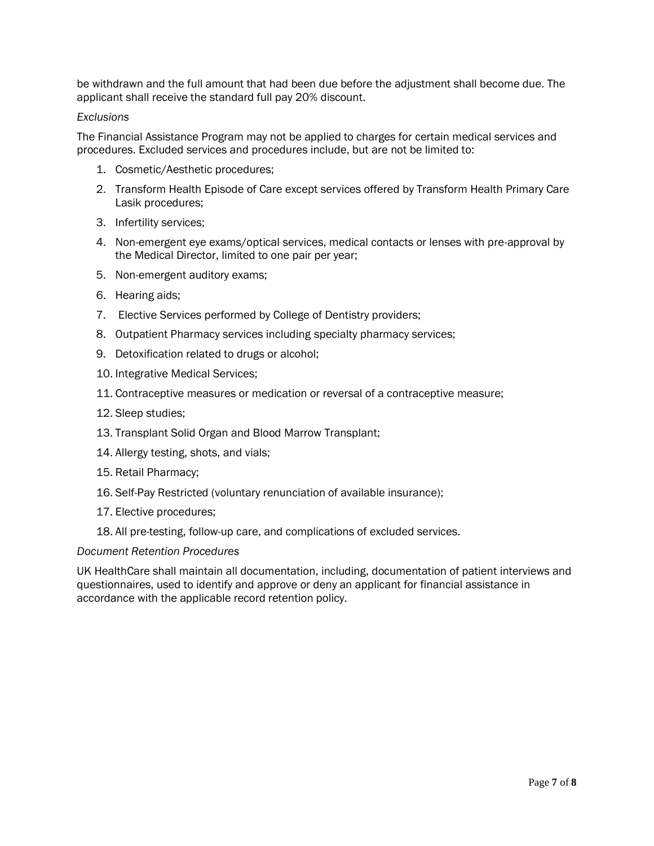be withdrawn and the full amount that had been due before the adjustment shall become due. The applicant shall receive the standard full pay 20% discount.

# *Exclusions*

The Financial Assistance Program may not be applied to charges for certain medical services and procedures. Excluded services and procedures include, but are not be limited to:

- 1. Cosmetic/Aesthetic procedures;
- 2. Transform Health Episode of Care except services offered by Transform Health Primary Care Lasik procedures;
- 3. Infertility services;
- 4. Non-emergent eye exams/optical services, medical contacts or lenses with pre-approval by the Medical Director, limited to one pair per year;
- 5. Non-emergent auditory exams;
- 6. Hearing aids;
- 7. Elective Services performed by College of Dentistry providers;
- 8. Outpatient Pharmacy services including specialty pharmacy services;
- 9. Detoxification related to drugs or alcohol;
- 10. Integrative Medical Services;
- 11. Contraceptive measures or medication or reversal of a contraceptive measure;
- 12. Sleep studies;
- 13. Transplant Solid Organ and Blood Marrow Transplant;
- 14. Allergy testing, shots, and vials;
- 15. Retail Pharmacy;
- 16. Self-Pay Restricted (voluntary renunciation of available insurance);
- 17. Elective procedures;
- 18. All pre-testing, follow-up care, and complications of excluded services.

### *Document Retention Procedures*

UK HealthCare shall maintain all documentation, including, documentation of patient interviews and questionnaires, used to identify and approve or deny an applicant for financial assistance in accordance with the applicable record retention policy.